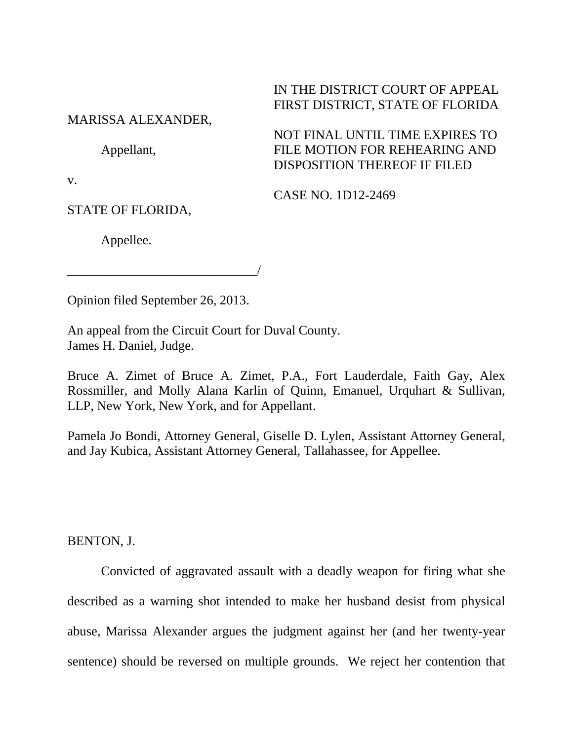## IN THE DISTRICT COURT OF APPEAL FIRST DISTRICT, STATE OF FLORIDA

## MARISSA ALEXANDER,

Appellant,

NOT FINAL UNTIL TIME EXPIRES TO FILE MOTION FOR REHEARING AND DISPOSITION THEREOF IF FILED

v.

CASE NO. 1D12-2469

STATE OF FLORIDA,

Appellee.

\_\_\_\_\_\_\_\_\_\_\_\_\_\_\_\_\_\_\_\_\_\_\_\_\_\_\_\_\_/

Opinion filed September 26, 2013.

An appeal from the Circuit Court for Duval County. James H. Daniel, Judge.

Bruce A. Zimet of Bruce A. Zimet, P.A., Fort Lauderdale, Faith Gay, Alex Rossmiller, and Molly Alana Karlin of Quinn, Emanuel, Urquhart & Sullivan, LLP, New York, New York, and for Appellant.

Pamela Jo Bondi, Attorney General, Giselle D. Lylen, Assistant Attorney General, and Jay Kubica, Assistant Attorney General, Tallahassee, for Appellee.

BENTON, J.

Convicted of aggravated assault with a deadly weapon for firing what she described as a warning shot intended to make her husband desist from physical abuse, Marissa Alexander argues the judgment against her (and her twenty-year sentence) should be reversed on multiple grounds. We reject her contention that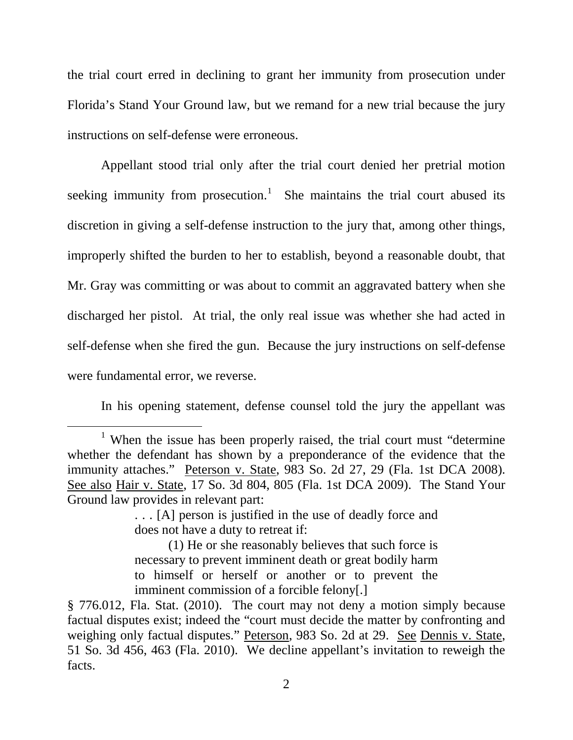the trial court erred in declining to grant her immunity from prosecution under Florida's Stand Your Ground law, but we remand for a new trial because the jury instructions on self-defense were erroneous.

Appellant stood trial only after the trial court denied her pretrial motion seeking immunity from prosecution.<sup>[1](#page-1-0)</sup> She maintains the trial court abused its discretion in giving a self-defense instruction to the jury that, among other things, improperly shifted the burden to her to establish, beyond a reasonable doubt, that Mr. Gray was committing or was about to commit an aggravated battery when she discharged her pistol. At trial, the only real issue was whether she had acted in self-defense when she fired the gun. Because the jury instructions on self-defense were fundamental error, we reverse.

In his opening statement, defense counsel told the jury the appellant was

<span id="page-1-0"></span><sup>&</sup>lt;sup>1</sup> When the issue has been properly raised, the trial court must "determine" whether the defendant has shown by a preponderance of the evidence that the immunity attaches." Peterson v. State, 983 So. 2d 27, 29 (Fla. 1st DCA 2008). See also Hair v. State, 17 So. 3d 804, 805 (Fla. 1st DCA 2009). The Stand Your Ground law provides in relevant part:

<sup>. . . [</sup>A] person is justified in the use of deadly force and does not have a duty to retreat if:

<sup>(1)</sup> He or she reasonably believes that such force is necessary to prevent imminent death or great bodily harm to himself or herself or another or to prevent the imminent commission of a forcible felony[.]

<sup>§ 776.012,</sup> Fla. Stat. (2010). The court may not deny a motion simply because factual disputes exist; indeed the "court must decide the matter by confronting and weighing only factual disputes." Peterson, 983 So. 2d at 29. See Dennis v. State, 51 So. 3d 456, 463 (Fla. 2010). We decline appellant's invitation to reweigh the facts.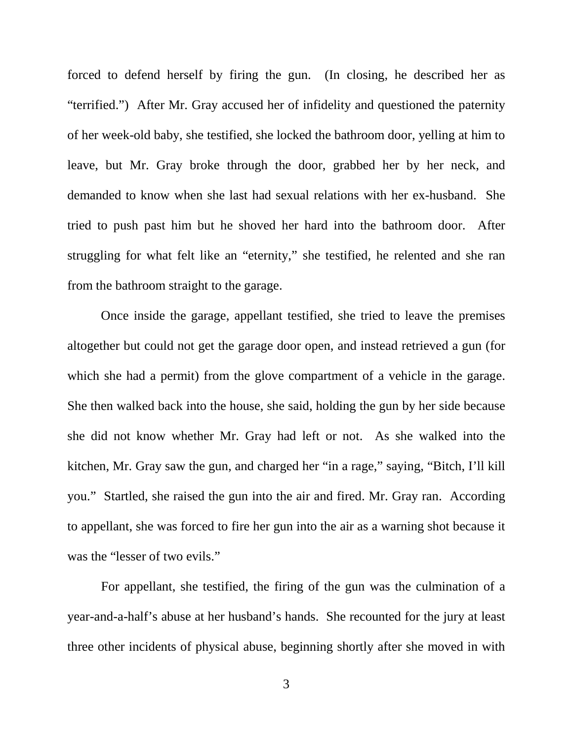forced to defend herself by firing the gun. (In closing, he described her as "terrified.") After Mr. Gray accused her of infidelity and questioned the paternity of her week-old baby, she testified, she locked the bathroom door, yelling at him to leave, but Mr. Gray broke through the door, grabbed her by her neck, and demanded to know when she last had sexual relations with her ex-husband. She tried to push past him but he shoved her hard into the bathroom door. After struggling for what felt like an "eternity," she testified, he relented and she ran from the bathroom straight to the garage.

Once inside the garage, appellant testified, she tried to leave the premises altogether but could not get the garage door open, and instead retrieved a gun (for which she had a permit) from the glove compartment of a vehicle in the garage. She then walked back into the house, she said, holding the gun by her side because she did not know whether Mr. Gray had left or not. As she walked into the kitchen, Mr. Gray saw the gun, and charged her "in a rage," saying, "Bitch, I'll kill you." Startled, she raised the gun into the air and fired. Mr. Gray ran. According to appellant, she was forced to fire her gun into the air as a warning shot because it was the "lesser of two evils."

For appellant, she testified, the firing of the gun was the culmination of a year-and-a-half's abuse at her husband's hands. She recounted for the jury at least three other incidents of physical abuse, beginning shortly after she moved in with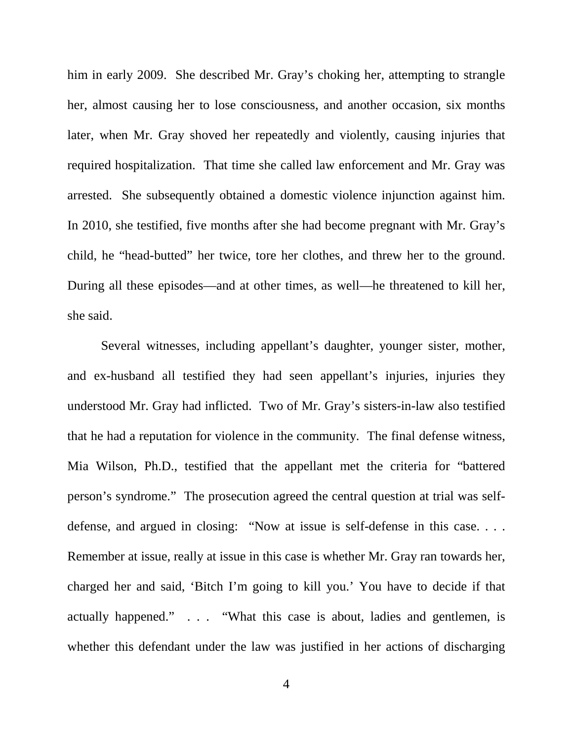him in early 2009. She described Mr. Gray's choking her, attempting to strangle her, almost causing her to lose consciousness, and another occasion, six months later, when Mr. Gray shoved her repeatedly and violently, causing injuries that required hospitalization. That time she called law enforcement and Mr. Gray was arrested. She subsequently obtained a domestic violence injunction against him. In 2010, she testified, five months after she had become pregnant with Mr. Gray's child, he "head-butted" her twice, tore her clothes, and threw her to the ground. During all these episodes—and at other times, as well—he threatened to kill her, she said.

Several witnesses, including appellant's daughter, younger sister, mother, and ex-husband all testified they had seen appellant's injuries, injuries they understood Mr. Gray had inflicted. Two of Mr. Gray's sisters-in-law also testified that he had a reputation for violence in the community. The final defense witness, Mia Wilson, Ph.D., testified that the appellant met the criteria for "battered person's syndrome." The prosecution agreed the central question at trial was selfdefense, and argued in closing: "Now at issue is self-defense in this case. . . . Remember at issue, really at issue in this case is whether Mr. Gray ran towards her, charged her and said, 'Bitch I'm going to kill you.' You have to decide if that actually happened." . . . "What this case is about, ladies and gentlemen, is whether this defendant under the law was justified in her actions of discharging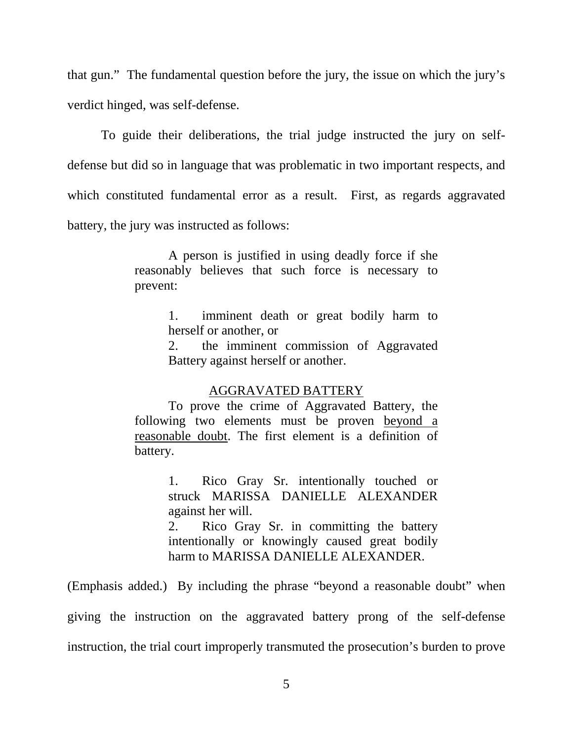that gun." The fundamental question before the jury, the issue on which the jury's verdict hinged, was self-defense.

To guide their deliberations, the trial judge instructed the jury on selfdefense but did so in language that was problematic in two important respects, and which constituted fundamental error as a result. First, as regards aggravated battery, the jury was instructed as follows:

> A person is justified in using deadly force if she reasonably believes that such force is necessary to prevent:

> > 1. imminent death or great bodily harm to herself or another, or

> > 2. the imminent commission of Aggravated Battery against herself or another.

## AGGRAVATED BATTERY

To prove the crime of Aggravated Battery, the following two elements must be proven beyond a reasonable doubt. The first element is a definition of battery.

> 1. Rico Gray Sr. intentionally touched or struck MARISSA DANIELLE ALEXANDER against her will.

> 2. Rico Gray Sr. in committing the battery intentionally or knowingly caused great bodily harm to MARISSA DANIELLE ALEXANDER.

(Emphasis added.) By including the phrase "beyond a reasonable doubt" when giving the instruction on the aggravated battery prong of the self-defense instruction, the trial court improperly transmuted the prosecution's burden to prove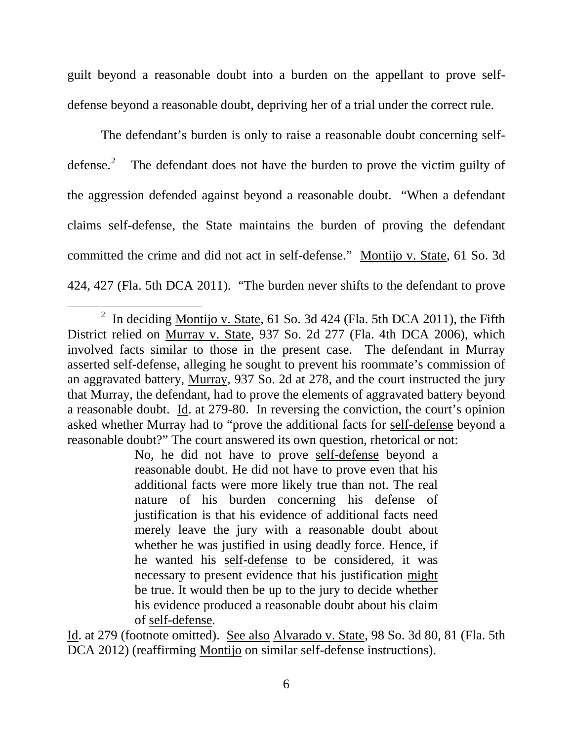guilt beyond a reasonable doubt into a burden on the appellant to prove selfdefense beyond a reasonable doubt, depriving her of a trial under the correct rule.

The defendant's burden is only to raise a reasonable doubt concerning selfdefense. [2](#page-5-0) The defendant does not have the burden to prove the victim guilty of the aggression defended against beyond a reasonable doubt. "When a defendant claims self-defense, the State maintains the burden of proving the defendant committed the crime and did not act in self-defense." Montijo v. State, 61 So. 3d 424, 427 (Fla. 5th DCA 2011). "The burden never shifts to the defendant to prove

No, he did not have to prove self-defense beyond a reasonable doubt. He did not have to prove even that his additional facts were more likely true than not. The real nature of his burden concerning his defense of justification is that his evidence of additional facts need merely leave the jury with a reasonable doubt about whether he was justified in using deadly force. Hence, if he wanted his self-defense to be considered, it was necessary to present evidence that his justification might be true. It would then be up to the jury to decide whether his evidence produced a reasonable doubt about his claim of self-defense*.*

Id. at 279 (footnote omitted). See also Alvarado v. State, 98 So. 3d 80, 81 (Fla. 5th DCA 2012) (reaffirming Montijo on similar self-defense instructions).

<span id="page-5-0"></span><sup>&</sup>lt;sup>2</sup> In deciding Montijo v. State, 61 So. 3d 424 (Fla. 5th DCA 2011), the Fifth District relied on Murray v. State, 937 So. 2d 277 (Fla. 4th DCA 2006), which involved facts similar to those in the present case. The defendant in Murray asserted self-defense, alleging he sought to prevent his roommate's commission of an aggravated battery, Murray, 937 So. 2d at 278, and the court instructed the jury that Murray, the defendant, had to prove the elements of aggravated battery beyond a reasonable doubt. Id. at 279-80. In reversing the conviction, the court's opinion asked whether Murray had to "prove the additional facts for self-defense beyond a reasonable doubt?" The court answered its own question, rhetorical or not: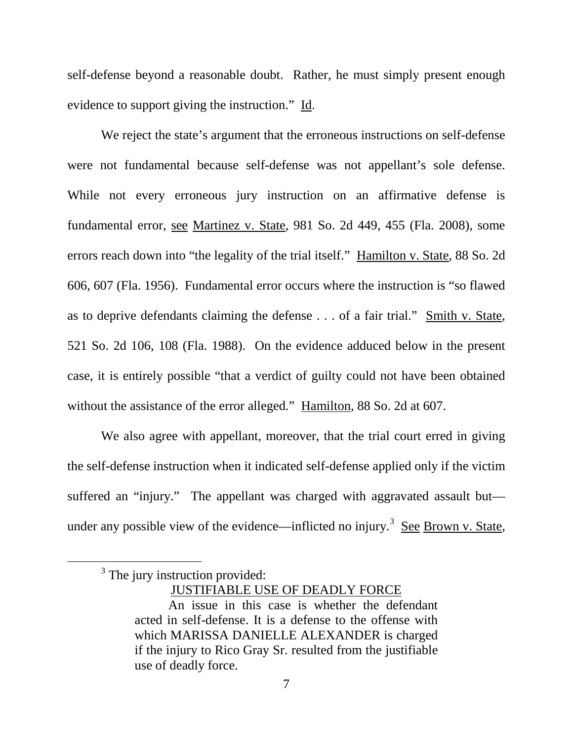self-defense beyond a reasonable doubt. Rather, he must simply present enough evidence to support giving the instruction." Id.

We reject the state's argument that the erroneous instructions on self-defense were not fundamental because self-defense was not appellant's sole defense. While not every erroneous jury instruction on an affirmative defense is fundamental error, see Martinez v. State, 981 So. 2d 449, 455 (Fla. 2008), some errors reach down into "the legality of the trial itself." Hamilton v. State, 88 So. 2d 606, 607 (Fla. 1956). Fundamental error occurs where the instruction is "so flawed as to deprive defendants claiming the defense . . . of a fair trial." Smith v. State*,* 521 So. 2d 106, 108 (Fla. 1988). On the evidence adduced below in the present case, it is entirely possible "that a verdict of guilty could not have been obtained without the assistance of the error alleged*.*" Hamilton, 88 So. 2d at 607.

We also agree with appellant, moreover, that the trial court erred in giving the self-defense instruction when it indicated self-defense applied only if the victim suffered an "injury." The appellant was charged with aggravated assault but— under any possible view of the evidence—inflicted no injury.<sup>[3](#page-6-0)</sup> See Brown v. State,

JUSTIFIABLE USE OF DEADLY FORCE

<span id="page-6-0"></span> $3$  The jury instruction provided:

An issue in this case is whether the defendant acted in self-defense. It is a defense to the offense with which MARISSA DANIELLE ALEXANDER is charged if the injury to Rico Gray Sr. resulted from the justifiable use of deadly force.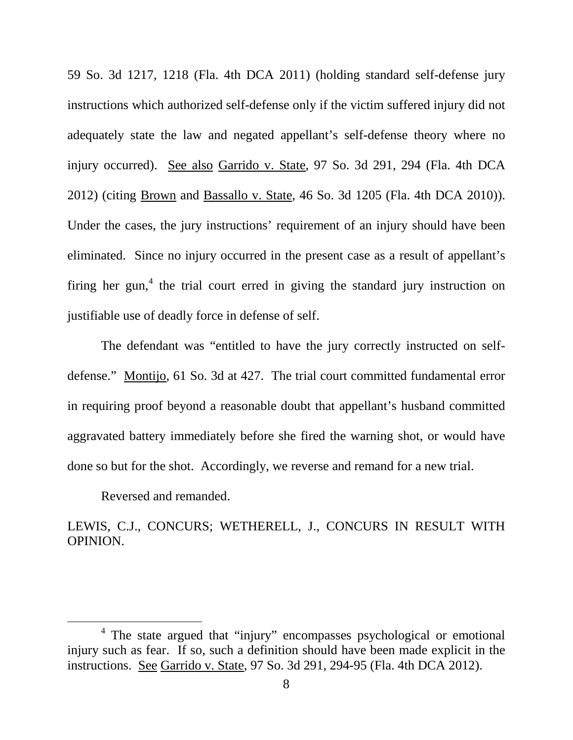59 So. 3d 1217, 1218 (Fla. 4th DCA 2011) (holding standard self-defense jury instructions which authorized self-defense only if the victim suffered injury did not adequately state the law and negated appellant's self-defense theory where no injury occurred). See also Garrido v. State, 97 So. 3d 291, 294 (Fla. 4th DCA 2012) (citing Brown and Bassallo v. State, 46 So. 3d 1205 (Fla. 4th DCA 2010)). Under the cases, the jury instructions' requirement of an injury should have been eliminated. Since no injury occurred in the present case as a result of appellant's firing her gun,<sup>[4](#page-7-0)</sup> the trial court erred in giving the standard jury instruction on justifiable use of deadly force in defense of self.

The defendant was "entitled to have the jury correctly instructed on selfdefense." Montijo, 61 So. 3d at 427. The trial court committed fundamental error in requiring proof beyond a reasonable doubt that appellant's husband committed aggravated battery immediately before she fired the warning shot, or would have done so but for the shot. Accordingly, we reverse and remand for a new trial.

Reversed and remanded.

LEWIS, C.J., CONCURS; WETHERELL, J., CONCURS IN RESULT WITH OPINION.

<span id="page-7-0"></span><sup>4</sup> The state argued that "injury" encompasses psychological or emotional injury such as fear. If so, such a definition should have been made explicit in the instructions. See Garrido v. State, 97 So. 3d 291, 294-95 (Fla. 4th DCA 2012).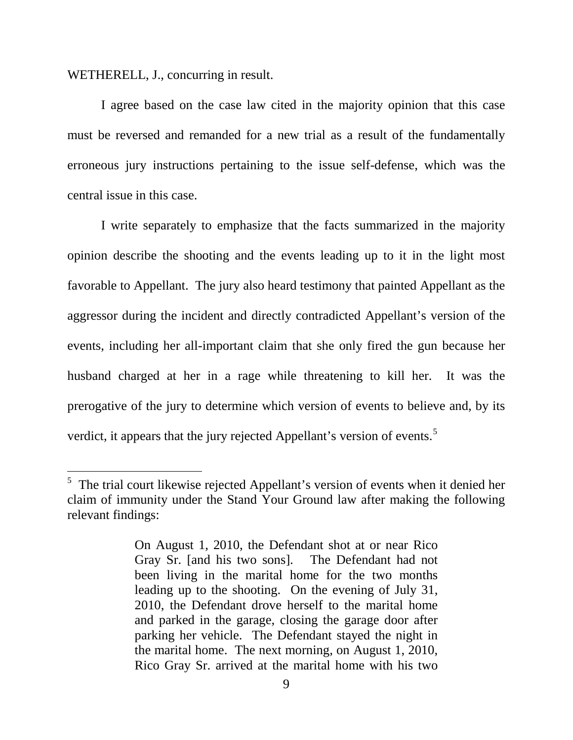WETHERELL, J., concurring in result.

I agree based on the case law cited in the majority opinion that this case must be reversed and remanded for a new trial as a result of the fundamentally erroneous jury instructions pertaining to the issue self-defense, which was the central issue in this case.

I write separately to emphasize that the facts summarized in the majority opinion describe the shooting and the events leading up to it in the light most favorable to Appellant. The jury also heard testimony that painted Appellant as the aggressor during the incident and directly contradicted Appellant's version of the events, including her all-important claim that she only fired the gun because her husband charged at her in a rage while threatening to kill her. It was the prerogative of the jury to determine which version of events to believe and, by its verdict, it appears that the jury rejected Appellant's version of events.<sup>[5](#page-8-0)</sup>

<span id="page-8-0"></span><sup>&</sup>lt;sup>5</sup> The trial court likewise rejected Appellant's version of events when it denied her claim of immunity under the Stand Your Ground law after making the following relevant findings:

On August 1, 2010, the Defendant shot at or near Rico Gray Sr. [and his two sons]. The Defendant had not been living in the marital home for the two months leading up to the shooting. On the evening of July 31, 2010, the Defendant drove herself to the marital home and parked in the garage, closing the garage door after parking her vehicle. The Defendant stayed the night in the marital home. The next morning, on August 1, 2010, Rico Gray Sr. arrived at the marital home with his two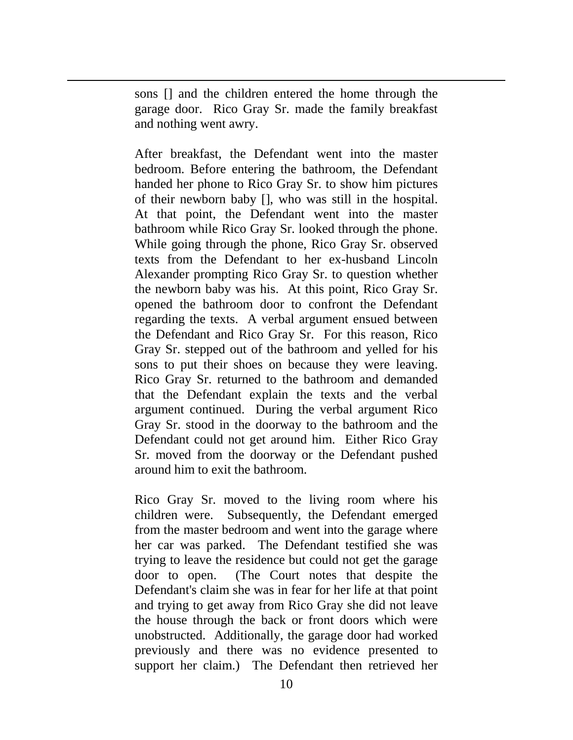sons [] and the children entered the home through the garage door. Rico Gray Sr. made the family breakfast and nothing went awry.

ī

After breakfast, the Defendant went into the master bedroom. Before entering the bathroom, the Defendant handed her phone to Rico Gray Sr. to show him pictures of their newborn baby [], who was still in the hospital. At that point, the Defendant went into the master bathroom while Rico Gray Sr. looked through the phone. While going through the phone, Rico Gray Sr. observed texts from the Defendant to her ex-husband Lincoln Alexander prompting Rico Gray Sr. to question whether the newborn baby was his. At this point, Rico Gray Sr. opened the bathroom door to confront the Defendant regarding the texts. A verbal argument ensued between the Defendant and Rico Gray Sr. For this reason, Rico Gray Sr. stepped out of the bathroom and yelled for his sons to put their shoes on because they were leaving. Rico Gray Sr. returned to the bathroom and demanded that the Defendant explain the texts and the verbal argument continued. During the verbal argument Rico Gray Sr. stood in the doorway to the bathroom and the Defendant could not get around him. Either Rico Gray Sr. moved from the doorway or the Defendant pushed around him to exit the bathroom.

Rico Gray Sr. moved to the living room where his children were. Subsequently, the Defendant emerged from the master bedroom and went into the garage where her car was parked. The Defendant testified she was trying to leave the residence but could not get the garage door to open. (The Court notes that despite the Defendant's claim she was in fear for her life at that point and trying to get away from Rico Gray she did not leave the house through the back or front doors which were unobstructed. Additionally, the garage door had worked previously and there was no evidence presented to support her claim.) The Defendant then retrieved her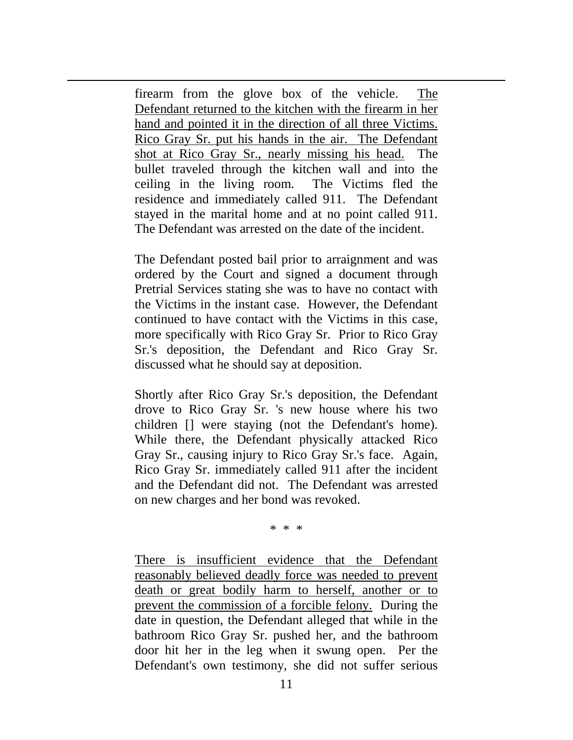firearm from the glove box of the vehicle. The Defendant returned to the kitchen with the firearm in her hand and pointed it in the direction of all three Victims. Rico Gray Sr. put his hands in the air. The Defendant shot at Rico Gray Sr., nearly missing his head. The bullet traveled through the kitchen wall and into the ceiling in the living room. The Victims fled the residence and immediately called 911. The Defendant stayed in the marital home and at no point called 911. The Defendant was arrested on the date of the incident.

ī

The Defendant posted bail prior to arraignment and was ordered by the Court and signed a document through Pretrial Services stating she was to have no contact with the Victims in the instant case. However, the Defendant continued to have contact with the Victims in this case, more specifically with Rico Gray Sr. Prior to Rico Gray Sr.'s deposition, the Defendant and Rico Gray Sr. discussed what he should say at deposition.

Shortly after Rico Gray Sr.'s deposition, the Defendant drove to Rico Gray Sr. 's new house where his two children [] were staying (not the Defendant's home). While there, the Defendant physically attacked Rico Gray Sr., causing injury to Rico Gray Sr.'s face. Again, Rico Gray Sr. immediately called 911 after the incident and the Defendant did not. The Defendant was arrested on new charges and her bond was revoked.

\* \* \*

There is insufficient evidence that the Defendant reasonably believed deadly force was needed to prevent death or great bodily harm to herself, another or to prevent the commission of a forcible felony. During the date in question, the Defendant alleged that while in the bathroom Rico Gray Sr. pushed her, and the bathroom door hit her in the leg when it swung open. Per the Defendant's own testimony, she did not suffer serious